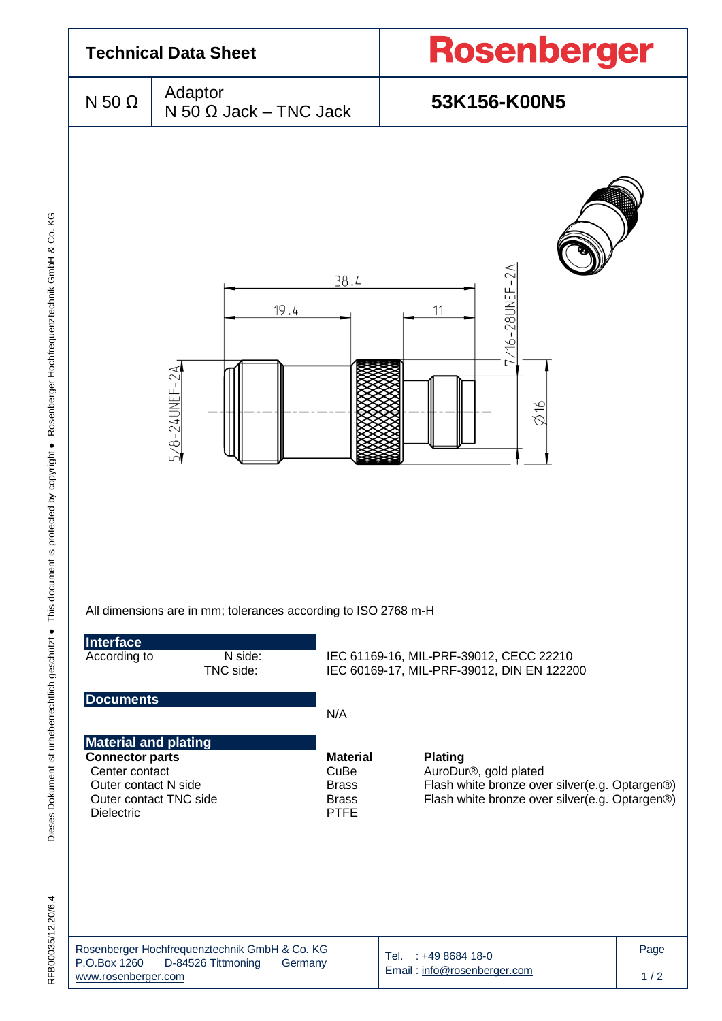